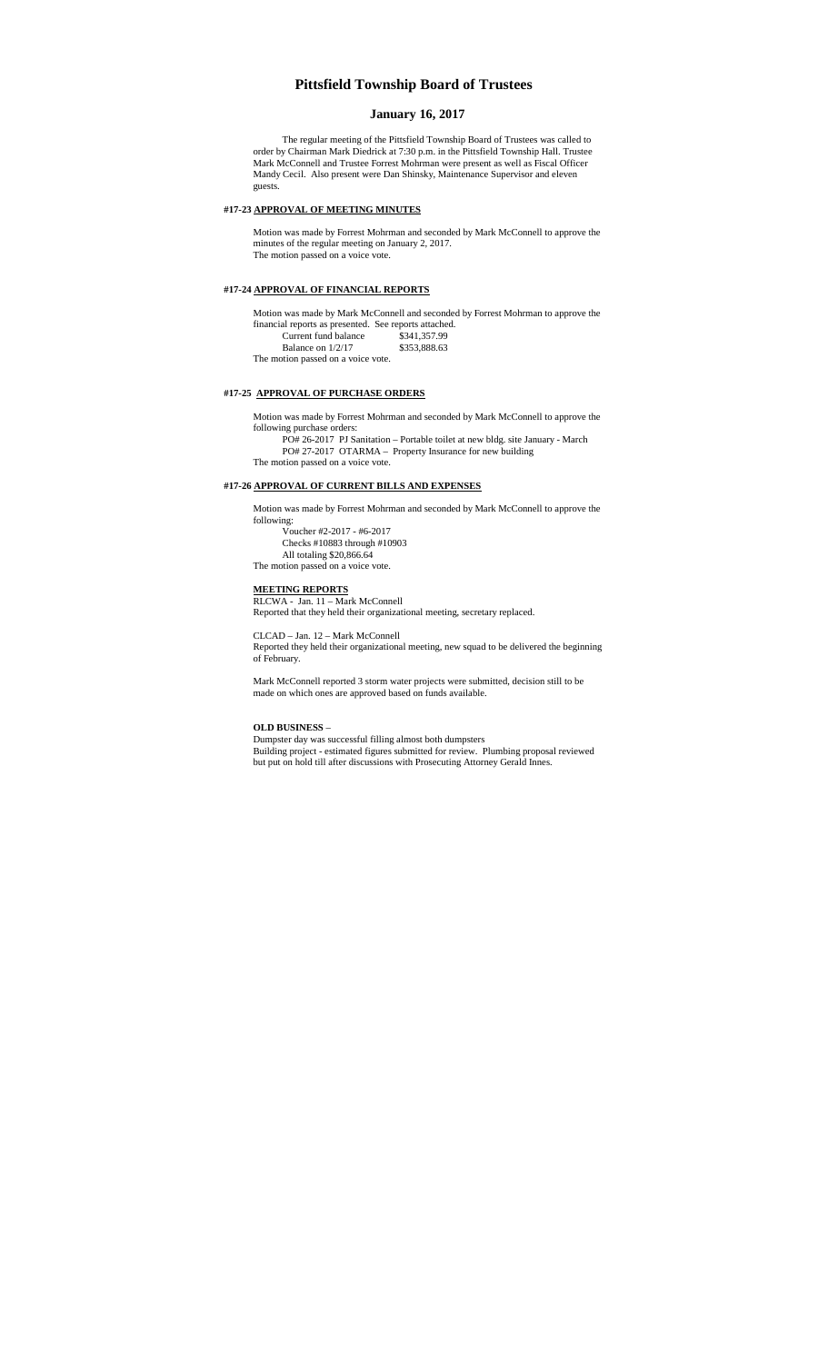## **Pittsfield Township Board of Trustees**

### **January 16, 2017**

The regular meeting of the Pittsfield Township Board of Trustees was called to order by Chairman Mark Diedrick at 7:30 p.m. in the Pittsfield Township Hall. Trustee Mark McConnell and Trustee Forrest Mohrman were present as well as Fiscal Officer Mandy Cecil. Also present were Dan Shinsky, Maintenance Supervisor and eleven guests.

### **#17-23 APPROVAL OF MEETING MINUTES**

Motion was made by Forrest Mohrman and seconded by Mark McConnell to approve the minutes of the regular meeting on January 2, 2017. The motion passed on a voice vote.

#### **#17-24 APPROVAL OF FINANCIAL REPORTS**

Motion was made by Mark McConnell and seconded by Forrest Mohrman to approve the financial reports as presented. See reports attached. Current fund balance \$341,357.99

Balance on 1/2/17 \$353,888.63 The motion passed on a voice vote.

### **#17-25 APPROVAL OF PURCHASE ORDERS**

Motion was made by Forrest Mohrman and seconded by Mark McConnell to approve the following purchase orders:

PO# 26-2017 PJ Sanitation – Portable toilet at new bldg. site January - March PO# 27-2017 OTARMA – Property Insurance for new building

The motion passed on a voice vote.

## **#17-26 APPROVAL OF CURRENT BILLS AND EXPENSES**

Motion was made by Forrest Mohrman and seconded by Mark McConnell to approve the following:

Voucher #2-2017 - #6-2017 Checks #10883 through #10903 All totaling \$20,866.64 The motion passed on a voice vote.

# **MEETING REPORTS**

RLCWA - Jan. 11 – Mark McConnell Reported that they held their organizational meeting, secretary replaced.

CLCAD – Jan. 12 – Mark McConnell

Reported they held their organizational meeting, new squad to be delivered the beginning of February.

Mark McConnell reported 3 storm water projects were submitted, decision still to be made on which ones are approved based on funds available.

#### **OLD BUSINESS** –

Dumpster day was successful filling almost both dumpsters

Building project - estimated figures submitted for review. Plumbing proposal reviewed but put on hold till after discussions with Prosecuting Attorney Gerald Innes.